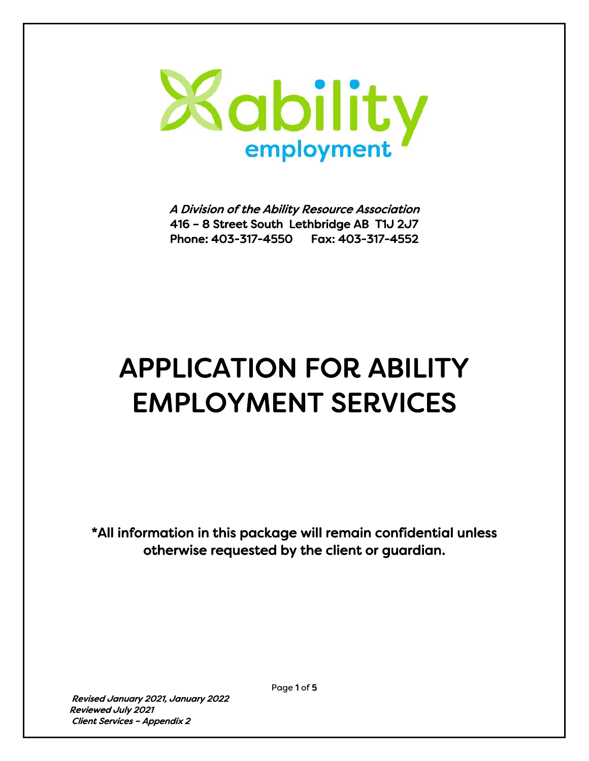

A Division of the Ability Resource Association 416 – 8 Street South Lethbridge AB T1J 2J7 Phone: 403-317-4550 Fax: 403-317-4552

# APPLICATION FOR ABILITY EMPLOYMENT SERVICES

\*All information in this package will remain confidential unless otherwise requested by the client or guardian.

 Revised January 2021, January 2022 Reviewed July 2021 Client Services – Appendix 2

Page 1 of 5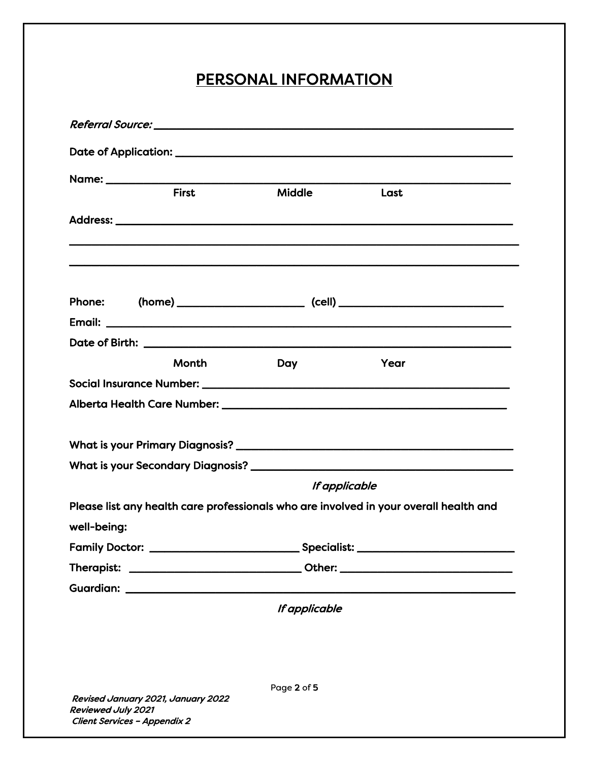## PERSONAL INFORMATION

|                    | <b>First</b>                                                       | Middle        | Last                                                                                  |
|--------------------|--------------------------------------------------------------------|---------------|---------------------------------------------------------------------------------------|
|                    |                                                                    |               |                                                                                       |
|                    |                                                                    |               |                                                                                       |
|                    |                                                                    |               |                                                                                       |
|                    |                                                                    |               |                                                                                       |
|                    | Month                                                              |               |                                                                                       |
|                    |                                                                    | Day           | Year                                                                                  |
|                    |                                                                    |               |                                                                                       |
|                    |                                                                    |               |                                                                                       |
|                    |                                                                    |               |                                                                                       |
|                    |                                                                    |               |                                                                                       |
|                    |                                                                    | If applicable |                                                                                       |
|                    |                                                                    |               | Please list any health care professionals who are involved in your overall health and |
| well-being:        |                                                                    |               |                                                                                       |
|                    |                                                                    |               |                                                                                       |
|                    |                                                                    |               |                                                                                       |
|                    |                                                                    |               |                                                                                       |
|                    |                                                                    | If applicable |                                                                                       |
|                    |                                                                    |               |                                                                                       |
|                    |                                                                    |               |                                                                                       |
|                    |                                                                    |               |                                                                                       |
| Reviewed July 2021 | Revised January 2021, January 2022<br>Client Services - Appendix 2 | Page 2 of 5   |                                                                                       |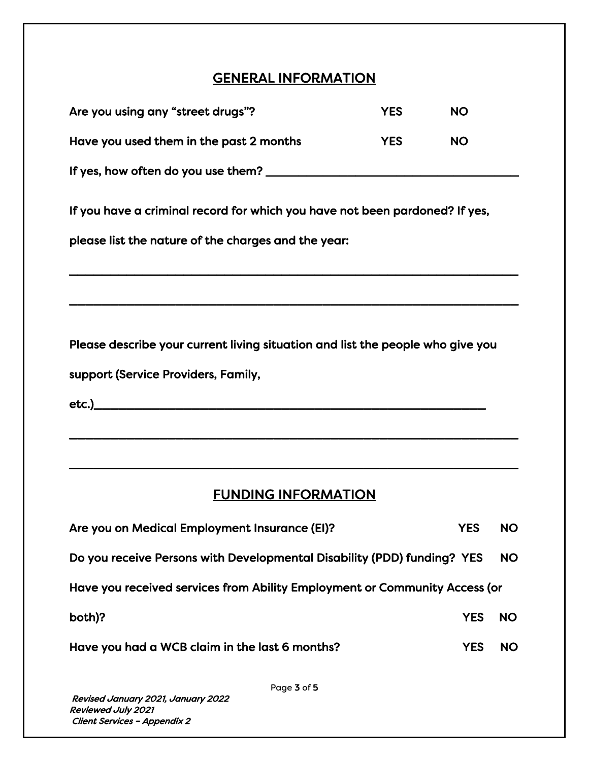### GENERAL INFORMATION

| Are you using any "street drugs"?                                              | <b>YES</b> | <b>NO</b>  |           |
|--------------------------------------------------------------------------------|------------|------------|-----------|
| Have you used them in the past 2 months                                        | <b>YES</b> | <b>NO</b>  |           |
|                                                                                |            |            |           |
| If you have a criminal record for which you have not been pardoned? If yes,    |            |            |           |
| please list the nature of the charges and the year:                            |            |            |           |
|                                                                                |            |            |           |
|                                                                                |            |            |           |
| Please describe your current living situation and list the people who give you |            |            |           |
| support (Service Providers, Family,                                            |            |            |           |
|                                                                                |            |            |           |
|                                                                                |            |            |           |
| <b>FUNDING INFORMATION</b>                                                     |            |            |           |
|                                                                                |            |            |           |
| Are you on Medical Employment Insurance (EI)?                                  |            | <b>YES</b> | <b>NO</b> |
| Do you receive Persons with Developmental Disability (PDD) funding? YES        |            |            | <b>NO</b> |
| Have you received services from Ability Employment or Community Access (or     |            |            |           |
| both)?                                                                         |            | <b>YES</b> | <b>NO</b> |
| Have you had a WCB claim in the last 6 months?                                 |            | <b>YES</b> | <b>NO</b> |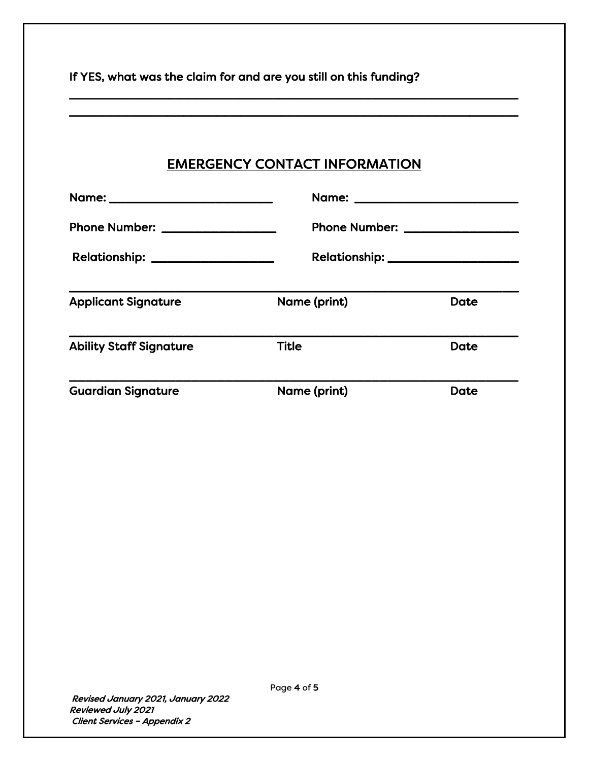| If YES, what was the claim for and are you still on this funding? |                                      |      |  |  |  |
|-------------------------------------------------------------------|--------------------------------------|------|--|--|--|
|                                                                   | <b>EMERGENCY CONTACT INFORMATION</b> |      |  |  |  |
| Name: ___________________________                                 |                                      |      |  |  |  |
| Phone Number: _________________                                   | Phone Number: _________________      |      |  |  |  |
| Relationship: __________________                                  |                                      |      |  |  |  |
| <b>Applicant Signature</b>                                        | Name (print)                         | Date |  |  |  |
| <b>Ability Staff Signature</b>                                    | <b>Title</b>                         | Date |  |  |  |
| <b>Guardian Signature</b>                                         | Name (print)                         | Date |  |  |  |